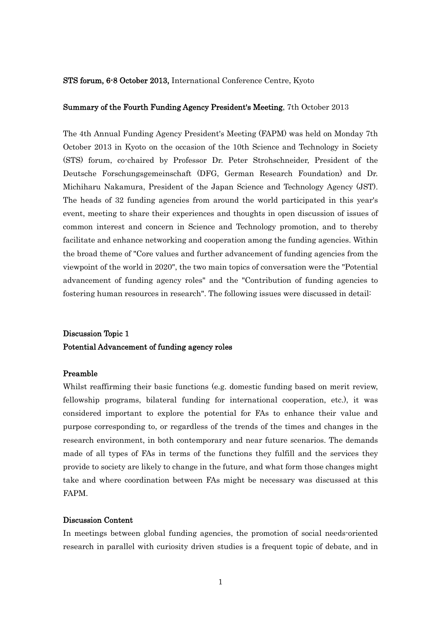#### STS forum, 6-8 October 2013, International Conference Centre, Kyoto

### Summary of the Fourth Funding Agency President's Meeting, 7th October 2013

The 4th Annual Funding Agency President's Meeting (FAPM) was held on Monday 7th October 2013 in Kyoto on the occasion of the 10th Science and Technology in Society (STS) forum, co-chaired by Professor Dr. Peter Strohschneider, President of the Deutsche Forschungsgemeinschaft (DFG, German Research Foundation) and Dr. Michiharu Nakamura, President of the Japan Science and Technology Agency (JST). The heads of 32 funding agencies from around the world participated in this year's event, meeting to share their experiences and thoughts in open discussion of issues of common interest and concern in Science and Technology promotion, and to thereby facilitate and enhance networking and cooperation among the funding agencies. Within the broad theme of "Core values and further advancement of funding agencies from the viewpoint of the world in 2020", the two main topics of conversation were the "Potential advancement of funding agency roles" and the "Contribution of funding agencies to fostering human resources in research". The following issues were discussed in detail:

## Discussion Topic 1 Potential Advancement of funding agency roles

### Preamble

Whilst reaffirming their basic functions (e.g. domestic funding based on merit review, fellowship programs, bilateral funding for international cooperation, etc.), it was considered important to explore the potential for FAs to enhance their value and purpose corresponding to, or regardless of the trends of the times and changes in the research environment, in both contemporary and near future scenarios. The demands made of all types of FAs in terms of the functions they fulfill and the services they provide to society are likely to change in the future, and what form those changes might take and where coordination between FAs might be necessary was discussed at this FAPM.

## Discussion Content

In meetings between global funding agencies, the promotion of social needs-oriented research in parallel with curiosity driven studies is a frequent topic of debate, and in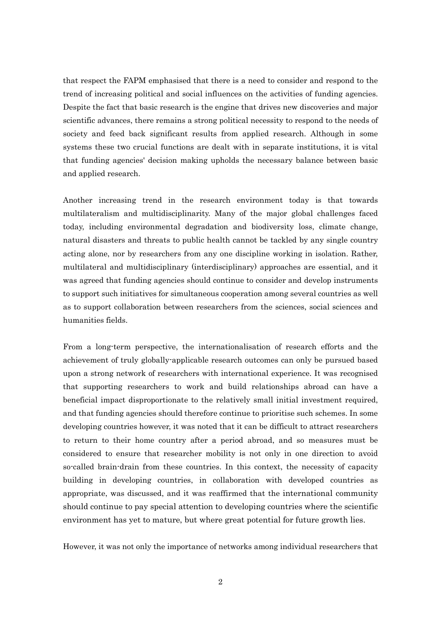that respect the FAPM emphasised that there is a need to consider and respond to the trend of increasing political and social influences on the activities of funding agencies. Despite the fact that basic research is the engine that drives new discoveries and major scientific advances, there remains a strong political necessity to respond to the needs of society and feed back significant results from applied research. Although in some systems these two crucial functions are dealt with in separate institutions, it is vital that funding agencies' decision making upholds the necessary balance between basic and applied research.

Another increasing trend in the research environment today is that towards multilateralism and multidisciplinarity. Many of the major global challenges faced today, including environmental degradation and biodiversity loss, climate change, natural disasters and threats to public health cannot be tackled by any single country acting alone, nor by researchers from any one discipline working in isolation. Rather, multilateral and multidisciplinary (interdisciplinary) approaches are essential, and it was agreed that funding agencies should continue to consider and develop instruments to support such initiatives for simultaneous cooperation among several countries as well as to support collaboration between researchers from the sciences, social sciences and humanities fields.

From a long-term perspective, the internationalisation of research efforts and the achievement of truly globally-applicable research outcomes can only be pursued based upon a strong network of researchers with international experience. It was recognised that supporting researchers to work and build relationships abroad can have a beneficial impact disproportionate to the relatively small initial investment required, and that funding agencies should therefore continue to prioritise such schemes. In some developing countries however, it was noted that it can be difficult to attract researchers to return to their home country after a period abroad, and so measures must be considered to ensure that researcher mobility is not only in one direction to avoid so-called brain-drain from these countries. In this context, the necessity of capacity building in developing countries, in collaboration with developed countries as appropriate, was discussed, and it was reaffirmed that the international community should continue to pay special attention to developing countries where the scientific environment has yet to mature, but where great potential for future growth lies.

However, it was not only the importance of networks among individual researchers that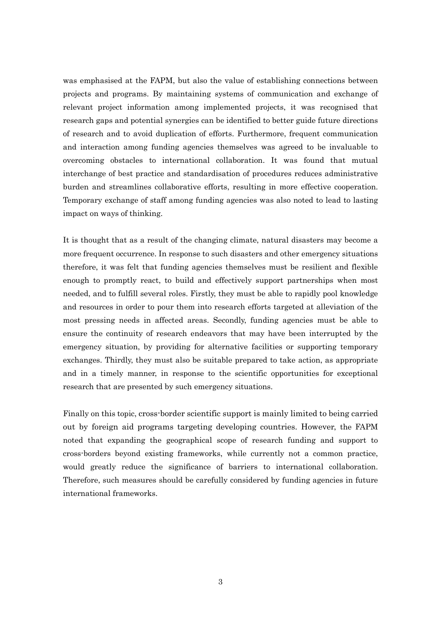was emphasised at the FAPM, but also the value of establishing connections between projects and programs. By maintaining systems of communication and exchange of relevant project information among implemented projects, it was recognised that research gaps and potential synergies can be identified to better guide future directions of research and to avoid duplication of efforts. Furthermore, frequent communication and interaction among funding agencies themselves was agreed to be invaluable to overcoming obstacles to international collaboration. It was found that mutual interchange of best practice and standardisation of procedures reduces administrative burden and streamlines collaborative efforts, resulting in more effective cooperation. Temporary exchange of staff among funding agencies was also noted to lead to lasting impact on ways of thinking.

It is thought that as a result of the changing climate, natural disasters may become a more frequent occurrence. In response to such disasters and other emergency situations therefore, it was felt that funding agencies themselves must be resilient and flexible enough to promptly react, to build and effectively support partnerships when most needed, and to fulfill several roles. Firstly, they must be able to rapidly pool knowledge and resources in order to pour them into research efforts targeted at alleviation of the most pressing needs in affected areas. Secondly, funding agencies must be able to ensure the continuity of research endeavors that may have been interrupted by the emergency situation, by providing for alternative facilities or supporting temporary exchanges. Thirdly, they must also be suitable prepared to take action, as appropriate and in a timely manner, in response to the scientific opportunities for exceptional research that are presented by such emergency situations.

Finally on this topic, cross-border scientific support is mainly limited to being carried out by foreign aid programs targeting developing countries. However, the FAPM noted that expanding the geographical scope of research funding and support to cross-borders beyond existing frameworks, while currently not a common practice, would greatly reduce the significance of barriers to international collaboration. Therefore, such measures should be carefully considered by funding agencies in future international frameworks.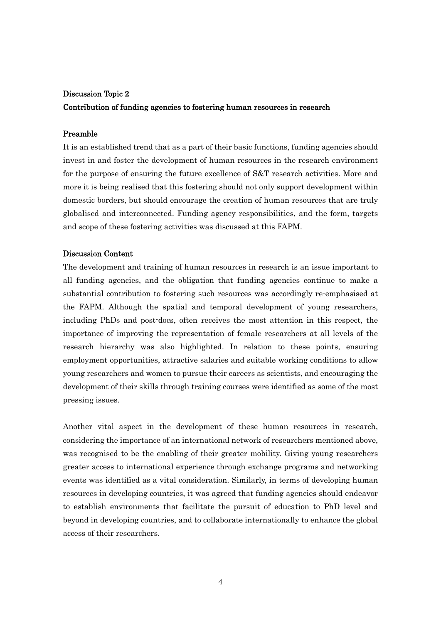## Discussion Topic 2

## Contribution of funding agencies to fostering human resources in research

## Preamble

It is an established trend that as a part of their basic functions, funding agencies should invest in and foster the development of human resources in the research environment for the purpose of ensuring the future excellence of S&T research activities. More and more it is being realised that this fostering should not only support development within domestic borders, but should encourage the creation of human resources that are truly globalised and interconnected. Funding agency responsibilities, and the form, targets and scope of these fostering activities was discussed at this FAPM.

### Discussion Content

The development and training of human resources in research is an issue important to all funding agencies, and the obligation that funding agencies continue to make a substantial contribution to fostering such resources was accordingly re-emphasised at the FAPM. Although the spatial and temporal development of young researchers, including PhDs and post-docs, often receives the most attention in this respect, the importance of improving the representation of female researchers at all levels of the research hierarchy was also highlighted. In relation to these points, ensuring employment opportunities, attractive salaries and suitable working conditions to allow young researchers and women to pursue their careers as scientists, and encouraging the development of their skills through training courses were identified as some of the most pressing issues.

Another vital aspect in the development of these human resources in research, considering the importance of an international network of researchers mentioned above, was recognised to be the enabling of their greater mobility. Giving young researchers greater access to international experience through exchange programs and networking events was identified as a vital consideration. Similarly, in terms of developing human resources in developing countries, it was agreed that funding agencies should endeavor to establish environments that facilitate the pursuit of education to PhD level and beyond in developing countries, and to collaborate internationally to enhance the global access of their researchers.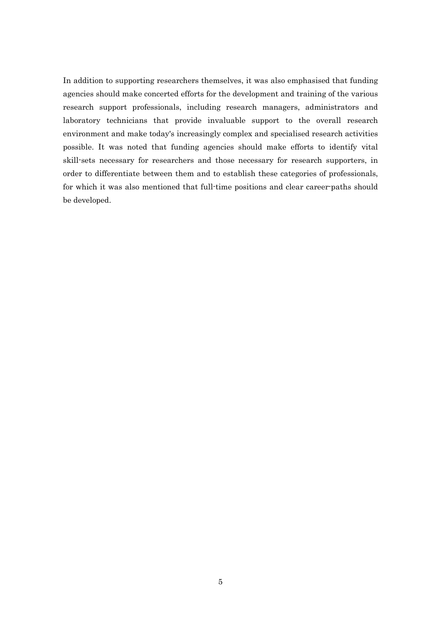In addition to supporting researchers themselves, it was also emphasised that funding agencies should make concerted efforts for the development and training of the various research support professionals, including research managers, administrators and laboratory technicians that provide invaluable support to the overall research environment and make today's increasingly complex and specialised research activities possible. It was noted that funding agencies should make efforts to identify vital skill-sets necessary for researchers and those necessary for research supporters, in order to differentiate between them and to establish these categories of professionals, for which it was also mentioned that full-time positions and clear career-paths should be developed.